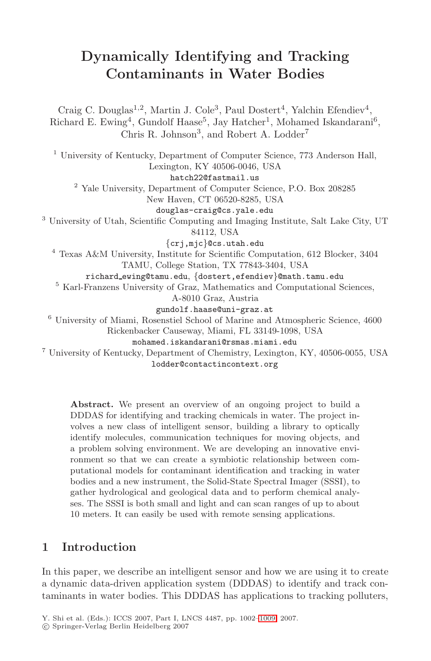# **Dynamically Identifying and Tracking Contaminants in Water Bodies**

Craig C. Douglas<sup>1,2</sup>, Martin J. Cole<sup>3</sup>, Paul Dostert<sup>4</sup>, Yalchin Efendiev<sup>4</sup>, Richard E. Ewing<sup>4</sup>, Gundolf Haase<sup>5</sup>, Jay Hatcher<sup>1</sup>, Mohamed Iskandarani<sup>6</sup>, Chris R. Johnson<sup>3</sup>, and Robert A. Lodder<sup>7</sup>

<sup>1</sup> University of Kentucky, Department of Computer Science, 773 Anderson Hall, Lexington, KY 40506-0046, USA

hatch22@fastmail.us

 $^2$  Yale University, Department of Computer Science, P.O. Box  $208285\,$ New Haven, CT 06520-8285, USA

douglas-craig@cs.yale.edu

<sup>3</sup> University of Utah, Scientific Computing and Imaging Institute, Salt Lake City, UT 84112, USA

{crj,mjc}@cs.utah.edu

<sup>4</sup> Texas A&M University, Institute for Scientific Computation, 612 Blocker, 3404 TAMU, College Station, TX 77843-3404, USA

richard ewing@tamu.edu, {dostert,efendiev}@math.tamu.edu

<sup>5</sup> Karl-Franzens University of Graz, Mathematics and Computational Sciences,

A-8010 Graz, Austria

gundolf.haase@uni-graz.at

<sup>6</sup> University of Miami, Rosenstiel School of Marine and Atmospheric Science, 4600 Rickenbacker Causeway, Miami, FL 33149-1098, USA

mohamed.iskandarani@rsmas.miami.edu

<sup>7</sup> University of Kentucky, Department of Chemistry, Lexington, KY, 40506-0055, USA lodder@contactincontext.org

Abstract. We present an overview of an ongoing project to build a DDDAS for identifying and tracking chemicals in water. The project involves a new class of intelligent sensor, building a library to optically identify molecules, communication techniques for moving objects, and a problem solving environment. We are developing an innovative environment so that we can create a symbiotic relationship between computational models for contaminant identification and tracking in water bodies and a new instrument, the Solid-State Spectral Imager (SSSI), to gather hydrological and geological data and to perform chemical analyses. The SSSI is both small and light and can scan ranges of up to about 10 meters. It can easily be used with remote sensing applications.

# **1 Introduction**

In this paper, we describe an intelligent sensor and how we are using it to create a dynamic data-driven application system (DDDAS) to identify and track contaminants in water bodies. This DDDAS has applications to tracking polluters,

Y. Shi et al. (Eds.): ICCS 2007, Part I, LNCS 4487, pp. 1002–1009, 2007.

-c Springer-Verlag Berlin Heidelberg 2007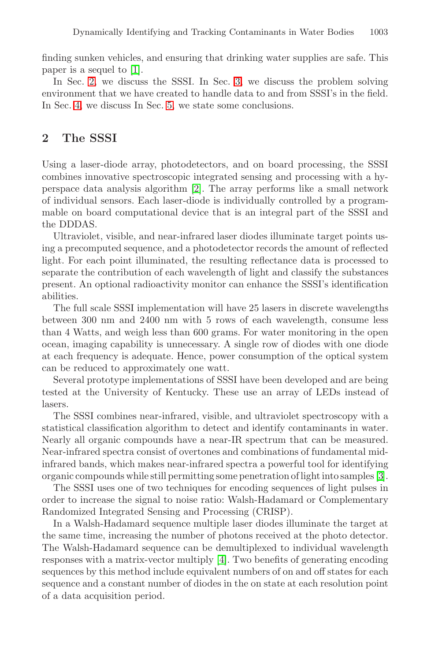finding sunken vehicles, and ensuring that drinking water supplies are safe. This paper is a sequel to [1].

In Sec. 2, we discuss the SSSI. In Sec. 3, we discuss the problem solving environment that we have created to handle data to and from SSSI's in the field. In Sec. 4, we discuss In Sec. 5, we state some conclusions.

## **2 The SSSI**

Using a laser-diode array, photodetectors, and on board processing, the SSSI combines innovative spectroscopic integrated sensing and processing with a hyperspace data analysis algorithm [2]. The array performs like a small network of individual sensors. Each laser-diode is individually controlled by a programmable on board computational device that is an integral part of the SSSI and the DDDAS.

Ultraviolet, visible, and near-infrared laser diodes illuminate target points using a precomputed sequence, and a photodetector records the amount of reflected light. For each point illuminated, the resulting reflectance data is processed to separate the contribution of each wavelength of light and classify the substances present. An optional radioactivity monitor can enhance the SSSI's identification abilities.

The full scale SSSI implementation will have 25 lasers in discrete wavelengths between 300 nm and 2400 nm with 5 rows of each wavelength, consume less than 4 Watts, and weigh less than 600 grams. For water monitoring in the open ocean, imaging capability is unnecessary. A single row of diodes with one diode at each frequency is adequate. Hence, power consumption of the optical system can be reduced to approximately one watt.

Several prototype implementations of SSSI have been developed and are being tested at the University of Kentucky. These use an array of LEDs instead of lasers.

The SSSI combines near-infrared, visible, and ultraviolet spectroscopy with a statistical classification algorithm to detect and identify contaminants in water. Nearly all organic compounds have a near-IR spectrum that can be measured. Near-infrared spectra consist of overtones and combinations of fundamental midinfrared bands, which makes near-infrared spectra a powerful tool for identifying organic compounds while still permitting some penetration of light into samples [3].

The SSSI uses one of two techniques for encoding sequences of light pulses in order to increase the signal to noise ratio: Walsh-Hadamard or Complementary Randomized Integrated Sensing and Processing (CRISP).

In a Walsh-Hadamard sequence multiple laser diodes illuminate the target at the same time, increasing the number of photons received at the photo detector. The Walsh-Hadamard sequence can be demultiplexed to individual wavelength responses with a matrix-vector multiply [4]. Two benefits of generating encoding sequences by this method include equivalent numbers of on and off states for each sequence and a constant number of diodes in the on state at each resolution point of a data acquisition period.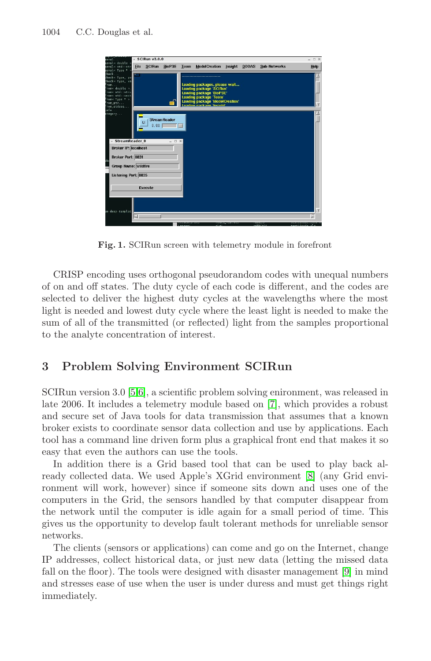#### 1004 C.C. Douglas et al.



**Fig. 1.** SCIRun screen with telemetry module in forefront

CRISP encoding uses orthogonal pseudorandom codes with unequal numbers of on and off states. The duty cycle of each code is different, and the codes are selected to deliver the highest duty cycles at the wavelengths where the most light is needed and lowest duty cycle where the least light is needed to make the sum of all of the transmitted (or reflected) light from the samples proportional to the analyte concentration of interest.

### **3 Problem Solving Environment SCIRun**

SCIRun version 3.0 [5,6], a scientific problem solving enironment, was released in late 2006. It includes a telemetry module based on [7], which provides a robust and secure set of Java tools for data transmission that assumes that a known broker exists to coordinate sensor data collection and use by applications. Each tool has a command line driven form plus a graphical front end that makes it so easy that even the authors can use the tools.

In addition there is a Grid based tool that can be used to play back already collected data. We used Apple's XGrid environment [8] (any Grid environment will work, however) since if someone sits down and uses one of the computers in the Grid, the sensors handled by that computer disappear from the network until the computer is idle again for a small period of time. This gives us the opportunity to develop fault tolerant methods for unreliable sensor networks.

The clients (sensors or applications) can come and go on the Internet, change IP addresses, collect historical data, or just new data (letting the missed data fall on the floor). The tools were designed with disaster management [9] in mind and stresses ease of use when the user is under duress and must get things right immediately.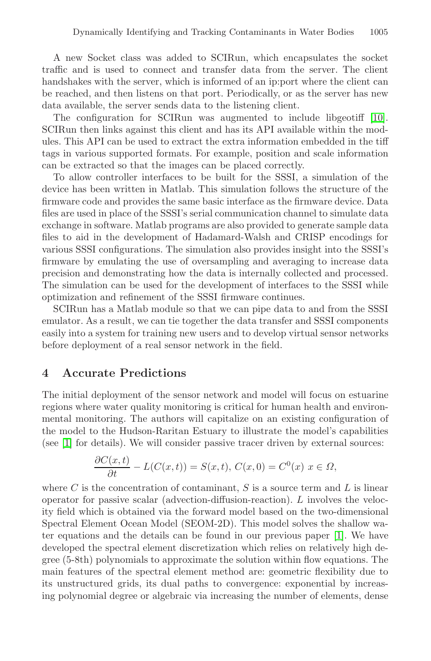A new Socket class was added to SCIRun, which encapsulates the socket traffic and is used to connect and transfer data from the server. The client handshakes with the server, which is informed of an ip:port where the client can be reached, and then listens on that port. Periodically, or as the server has new data available, the server sends data to the listening client.

The configuration for SCIRun was augmented to include libgeotiff [10]. SCIRun then links against this client and has its API available within the modules. This API can be used to extract the extra information embedded in the tiff tags in various supported formats. For example, position and scale information can be extracted so that the images can be placed correctly.

To allow controller interfaces to be built for the SSSI, a simulation of the device has been written in Matlab. This simulation follows the structure of the firmware code and provides the same basic interface as the firmware device. Data files are used in place of the SSSI's serial communication channel to simulate data exchange in software. Matlab programs are also provided to generate sample data files to aid in the development of Hadamard-Walsh and CRISP encodings for various SSSI configurations. The simulation also provides insight into the SSSI's firmware by emulating the use of oversampling and averaging to increase data precision and demonstrating how the data is internally collected and processed. The simulation can be used for the development of interfaces to the SSSI while optimization and refinement of the SSSI firmware continues.

SCIRun has a Matlab module so that we can pipe data to and from the SSSI emulator. As a result, we can tie together the data transfer and SSSI components easily into a system for training new users and to develop virtual sensor networks before deployment of a real sensor network in the field.

#### **4 Accurate Predictions**

The initial deployment of the sensor network and model will focus on estuarine regions where water quality monitoring is critical for human health and environmental monitoring. The authors will capitalize on an existing configuration of the model to the Hudson-Raritan Estuary to illustrate the model's capabilities (see [1] for details). We will consider passive tracer driven by external sources:

$$
\frac{\partial C(x,t)}{\partial t} - L(C(x,t)) = S(x,t), C(x,0) = C^{0}(x) \ x \in \Omega,
$$

where  $C$  is the concentration of contaminant,  $S$  is a source term and  $L$  is linear operator for passive scalar (advection-diffusion-reaction).  $L$  involves the velocity field which is obtained via the forward model based on the two-dimensional Spectral Element Ocean Model (SEOM-2D). This model solves the shallow water equations and the details can be found in our previous paper [1]. We have developed the spectral element discretization which relies on relatively high degree (5-8th) polynomials to approximate the solution within flow equations. The main features of the spectral element method are: geometric flexibility due to its unstructured grids, its dual paths to convergence: exponential by increasing polynomial degree or algebraic via increasing the number of elements, dense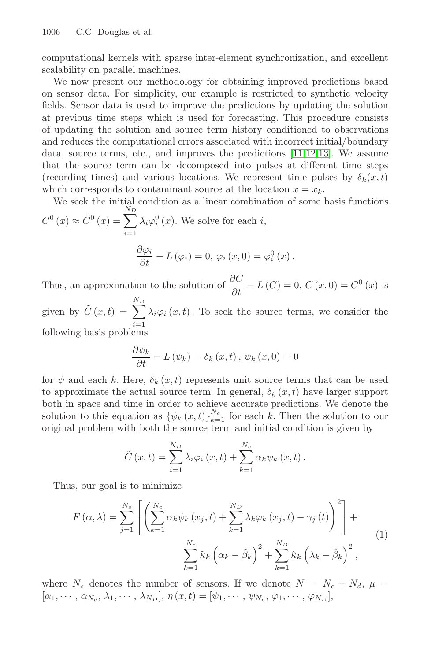1006 C.C. Douglas et al.

computational kernels with sparse inter-element synchronization, and excellent scalability on parallel machines.

We now present our methodology for obtaining improved predictions based on sensor data. For simplicity, our example is restricted to synthetic velocity fields. Sensor data is used to improve the predictions by updating the solution at previous time steps which is used for forecasting. This procedure consists of updating the solution and source term history conditioned to observations and reduces the computational errors associated with incorrect initial/boundary data, source terms, etc., and improves the predictions [11,12,13]. We assume that the source term can be decomposed into pulses at different time steps (recording times) and various locations. We represent time pulses by  $\delta_k(x,t)$ which corresponds to contaminant source at the location  $x = x_k$ .

We seek the initial condition as a linear combination of some basis functions  $C^{0}(x) \approx \tilde{C}^{0}(x) = \sum_{n=0}^{N_{D}}$  $i=1$  $\lambda_i \varphi_i^0(x)$ . We solve for each *i*,  $\frac{\partial \varphi_i}{\partial t} - L(\varphi_i) = 0, \varphi_i(x, 0) = \varphi_i^0(x).$ 

Thus, an approximation to the solution of  $\frac{\partial C}{\partial t} - L(C) = 0$ ,  $C(x, 0) = C^0(x)$  is given by  $\tilde{C}(x,t) = \sum_{n=0}^{N_D}$  $i=1$  $\lambda_i\varphi_i(x,t)$ . To seek the source terms, we consider the

following basis problems

$$
\frac{\partial \psi_k}{\partial t} - L(\psi_k) = \delta_k(x, t), \psi_k(x, 0) = 0
$$

for  $\psi$  and each k. Here,  $\delta_k(x,t)$  represents unit source terms that can be used to approximate the actual source term. In general,  $\delta_k(x, t)$  have larger support both in space and time in order to achieve accurate predictions. We denote the solution to this equation as  $\{\psi_k(x,t)\}_{k=1}^{N_c}$  for each k. Then the solution to our original problem with both the source term and initial condition is given by

$$
\tilde{C}(x,t) = \sum_{i=1}^{N_D} \lambda_i \varphi_i(x,t) + \sum_{k=1}^{N_c} \alpha_k \psi_k(x,t).
$$

Thus, our goal is to minimize

$$
F(\alpha, \lambda) = \sum_{j=1}^{N_s} \left[ \left( \sum_{k=1}^{N_c} \alpha_k \psi_k (x_j, t) + \sum_{k=1}^{N_D} \lambda_k \varphi_k (x_j, t) - \gamma_j (t) \right)^2 \right] + \sum_{k=1}^{N_c} \tilde{\kappa}_k \left( \alpha_k - \tilde{\beta}_k \right)^2 + \sum_{k=1}^{N_D} \hat{\kappa}_k \left( \lambda_k - \hat{\beta}_k \right)^2,
$$
\n(1)

where  $N_s$  denotes the number of sensors. If we denote  $N = N_c + N_d$ ,  $\mu =$  $[\alpha_1, \cdots, \alpha_{N_c}, \lambda_1, \cdots, \lambda_{N_D}], \eta(x, t)=[\psi_1, \cdots, \psi_{N_c}, \varphi_1, \cdots, \varphi_{N_D}],$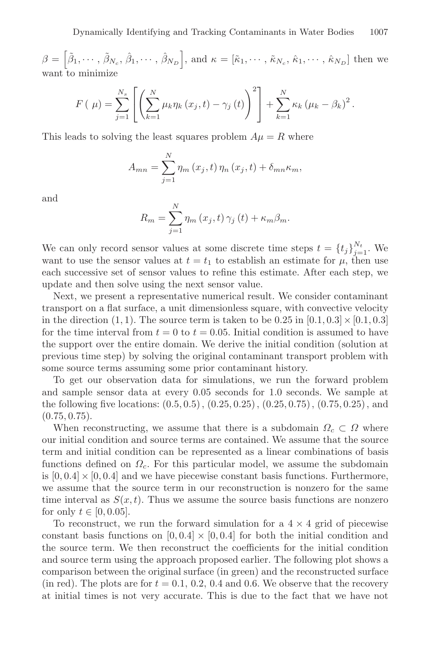$\beta = \left[\tilde{\beta}_1, \cdots, \tilde{\beta}_{N_c}, \hat{\beta}_1, \cdots, \hat{\beta}_{N_D}\right]$ , and  $\kappa = \left[\tilde{\kappa}_1, \cdots, \tilde{\kappa}_{N_c}, \hat{\kappa}_1, \cdots, \hat{\kappa}_{N_D}\right]$  then we want to minimize

$$
F(\mu) = \sum_{j=1}^{N_s} \left[ \left( \sum_{k=1}^N \mu_k \eta_k (x_j, t) - \gamma_j (t) \right)^2 \right] + \sum_{k=1}^N \kappa_k (\mu_k - \beta_k)^2.
$$

This leads to solving the least squares problem  $A\mu = R$  where

$$
A_{mn} = \sum_{j=1}^{N} \eta_m(x_j, t) \eta_n(x_j, t) + \delta_{mn} \kappa_m,
$$

and

$$
R_m = \sum_{j=1}^{N} \eta_m(x_j, t) \gamma_j(t) + \kappa_m \beta_m.
$$

We can only record sensor values at some discrete time steps  $t = \{t_j\}_{j=1}^{N_t}$ . We want to use the sensor values at  $t = t_1$  to establish an estimate for  $\mu$ , then use each successive set of sensor values to refine this estimate. After each step, we update and then solve using the next sensor value.

Next, we present a representative numerical result. We consider contaminant transport on a flat surface, a unit dimensionless square, with convective velocity in the direction  $(1, 1)$ . The source term is taken to be 0.25 in  $[0.1, 0.3] \times [0.1, 0.3]$ for the time interval from  $t = 0$  to  $t = 0.05$ . Initial condition is assumed to have the support over the entire domain. We derive the initial condition (solution at previous time step) by solving the original contaminant transport problem with some source terms assuming some prior contaminant history.

To get our observation data for simulations, we run the forward problem and sample sensor data at every 0.05 seconds for 1.0 seconds. We sample at the following five locations: (0.5, 0.5), (0.25, 0.25), (0.25, 0.75), (0.75, 0.25), and  $(0.75, 0.75).$ 

When reconstructing, we assume that there is a subdomain  $\Omega_c \subset \Omega$  where our initial condition and source terms are contained. We assume that the source term and initial condition can be represented as a linear combinations of basis functions defined on  $\Omega_c$ . For this particular model, we assume the subdomain is  $[0, 0.4] \times [0, 0.4]$  and we have piecewise constant basis functions. Furthermore, we assume that the source term in our reconstruction is nonzero for the same time interval as  $S(x, t)$ . Thus we assume the source basis functions are nonzero for only  $t \in [0, 0.05]$ .

To reconstruct, we run the forward simulation for a  $4 \times 4$  grid of piecewise constant basis functions on  $[0, 0.4] \times [0, 0.4]$  for both the initial condition and the source term. We then reconstruct the coefficients for the initial condition and source term using the approach proposed earlier. The following plot shows a comparison between the original surface (in green) and the reconstructed surface (in red). The plots are for  $t = 0.1, 0.2, 0.4$  and 0.6. We observe that the recovery at initial times is not very accurate. This is due to the fact that we have not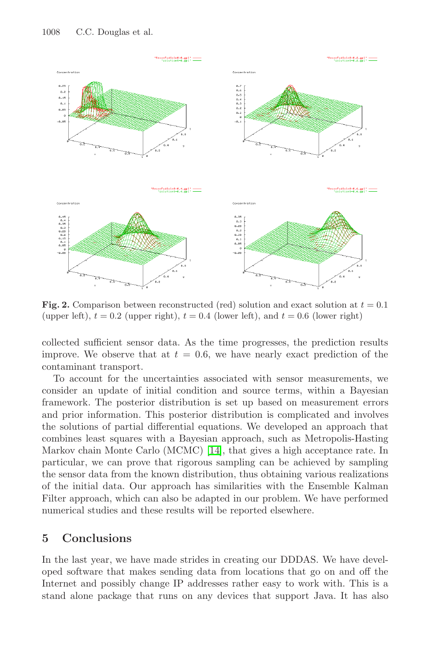#### 1008 C.C. Douglas et al.



**Fig. 2.** Comparison between reconstructed (red) solution and exact solution at  $t = 0.1$ (upper left),  $t = 0.2$  (upper right),  $t = 0.4$  (lower left), and  $t = 0.6$  (lower right)

collected sufficient sensor data. As the time progresses, the prediction results improve. We observe that at  $t = 0.6$ , we have nearly exact prediction of the contaminant transport.

To account for the uncertainties associated with sensor measurements, we consider an update of initial condition and source terms, within a Bayesian framework. The posterior distribution is set up based on measurement errors and prior information. This posterior distribution is complicated and involves the solutions of partial differential equations. We developed an approach that combines least squares with a Bayesian approach, such as Metropolis-Hasting Markov chain Monte Carlo (MCMC) [14], that gives a high acceptance rate. In particular, we can prove that rigorous sampling can be achieved by sampling the sensor data from the known distribution, thus obtaining various realizations of the initial data. Our approach has similarities with the Ensemble Kalman Filter approach, which can also be adapted in our problem. We have performed numerical studies and these results will be reported elsewhere.

## **5 Conclusions**

In the last year, we have made strides in creating our DDDAS. We have developed software that makes sending data from locations that go on and off the Internet and possibly change IP addresses rather easy to work with. This is a stand alone package that runs on any devices that support Java. It has also